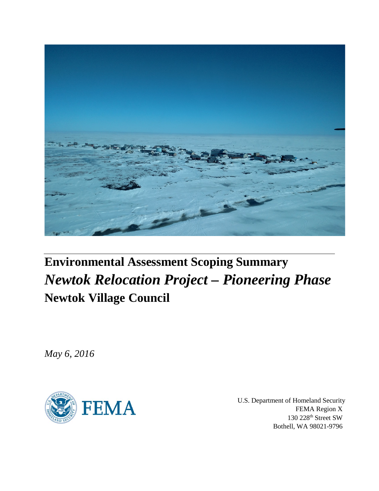

# **Environmental Assessment Scoping Summary** *Newtok Relocation Project – Pioneering Phase* **Newtok Village Council**

*May 6, 2016*



U.S. Department of Homeland Security FEMA Region X 130 228th Street SW Bothell, WA 98021-9796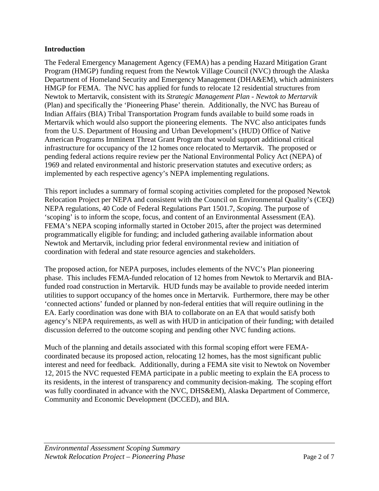#### **Introduction**

The Federal Emergency Management Agency (FEMA) has a pending Hazard Mitigation Grant Program (HMGP) funding request from the Newtok Village Council (NVC) through the Alaska Department of Homeland Security and Emergency Management (DHA&EM), which administers HMGP for FEMA. The NVC has applied for funds to relocate 12 residential structures from Newtok to Mertarvik, consistent with its *Strategic Management Plan - Newtok to Mertarvik*  (Plan) and specifically the 'Pioneering Phase' therein. Additionally, the NVC has Bureau of Indian Affairs (BIA) Tribal Transportation Program funds available to build some roads in Mertarvik which would also support the pioneering elements. The NVC also anticipates funds from the U.S. Department of Housing and Urban Development's (HUD) Office of Native American Programs Imminent Threat Grant Program that would support additional critical infrastructure for occupancy of the 12 homes once relocated to Mertarvik. The proposed or pending federal actions require review per the National Environmental Policy Act (NEPA) of 1969 and related environmental and historic preservation statutes and executive orders; as implemented by each respective agency's NEPA implementing regulations.

This report includes a summary of formal scoping activities completed for the proposed Newtok Relocation Project per NEPA and consistent with the Council on Environmental Quality's (CEQ) NEPA regulations, 40 Code of Federal Regulations Part 1501.7, *Scoping.* The purpose of 'scoping' is to inform the scope, focus, and content of an Environmental Assessment (EA). FEMA's NEPA scoping informally started in October 2015, after the project was determined programmatically eligible for funding; and included gathering available information about Newtok and Mertarvik, including prior federal environmental review and initiation of coordination with federal and state resource agencies and stakeholders.

The proposed action, for NEPA purposes, includes elements of the NVC's Plan pioneering phase. This includes FEMA-funded relocation of 12 homes from Newtok to Mertarvik and BIAfunded road construction in Mertarvik. HUD funds may be available to provide needed interim utilities to support occupancy of the homes once in Mertarvik. Furthermore, there may be other 'connected actions' funded or planned by non-federal entities that will require outlining in the EA. Early coordination was done with BIA to collaborate on an EA that would satisfy both agency's NEPA requirements, as well as with HUD in anticipation of their funding; with detailed discussion deferred to the outcome scoping and pending other NVC funding actions.

Much of the planning and details associated with this formal scoping effort were FEMAcoordinated because its proposed action, relocating 12 homes, has the most significant public interest and need for feedback. Additionally, during a FEMA site visit to Newtok on November 12, 2015 the NVC requested FEMA participate in a public meeting to explain the EA process to its residents, in the interest of transparency and community decision-making. The scoping effort was fully coordinated in advance with the NVC, DHS&EM), Alaska Department of Commerce, Community and Economic Development (DCCED), and BIA.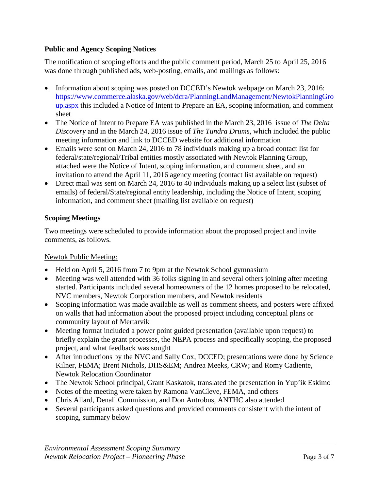# **Public and Agency Scoping Notices**

The notification of scoping efforts and the public comment period, March 25 to April 25, 2016 was done through published ads, web-posting, emails, and mailings as follows:

- Information about scoping was posted on DCCED's Newtok webpage on March 23, 2016: [https://www.commerce.alaska.gov/web/dcra/PlanningLandManagement/NewtokPlanningGro](https://www.commerce.alaska.gov/web/dcra/PlanningLandManagement/NewtokPlanningGroup.aspx) [up.aspx](https://www.commerce.alaska.gov/web/dcra/PlanningLandManagement/NewtokPlanningGroup.aspx) this included a Notice of Intent to Prepare an EA, scoping information, and comment sheet
- The Notice of Intent to Prepare EA was published in the March 23, 2016 issue of *The Delta Discovery* and in the March 24, 2016 issue of *The Tundra Drums*, which included the public meeting information and link to DCCED website for additional information
- Emails were sent on March 24, 2016 to 78 individuals making up a broad contact list for federal/state/regional/Tribal entities mostly associated with Newtok Planning Group, attached were the Notice of Intent, scoping information, and comment sheet, and an invitation to attend the April 11, 2016 agency meeting (contact list available on request)
- Direct mail was sent on March 24, 2016 to 40 individuals making up a select list (subset of emails) of federal/State/regional entity leadership, including the Notice of Intent, scoping information, and comment sheet (mailing list available on request)

## **Scoping Meetings**

Two meetings were scheduled to provide information about the proposed project and invite comments, as follows.

#### Newtok Public Meeting:

- Held on April 5, 2016 from 7 to 9pm at the Newtok School gymnasium
- Meeting was well attended with 36 folks signing in and several others joining after meeting started. Participants included several homeowners of the 12 homes proposed to be relocated, NVC members, Newtok Corporation members, and Newtok residents
- Scoping information was made available as well as comment sheets, and posters were affixed on walls that had information about the proposed project including conceptual plans or community layout of Mertarvik
- Meeting format included a power point guided presentation (available upon request) to briefly explain the grant processes, the NEPA process and specifically scoping, the proposed project, and what feedback was sought
- After introductions by the NVC and Sally Cox, DCCED; presentations were done by Science Kilner, FEMA; Brent Nichols, DHS&EM; Andrea Meeks, CRW; and Romy Cadiente, Newtok Relocation Coordinator
- The Newtok School principal, Grant Kaskatok, translated the presentation in Yup'ik Eskimo
- Notes of the meeting were taken by Ramona VanCleve, FEMA, and others
- Chris Allard, Denali Commission, and Don Antrobus, ANTHC also attended
- Several participants asked questions and provided comments consistent with the intent of scoping, summary below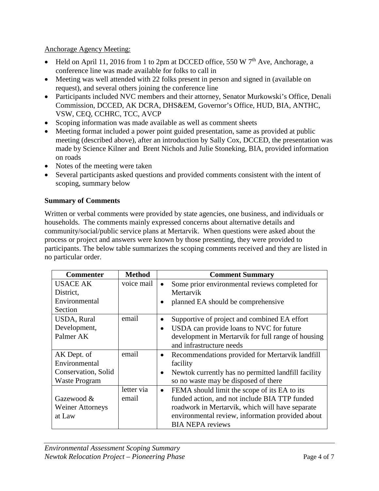Anchorage Agency Meeting:

- Held on April 11, 2016 from 1 to 2pm at DCCED office, 550 W  $7<sup>th</sup>$  Ave, Anchorage, a conference line was made available for folks to call in
- Meeting was well attended with 22 folks present in person and signed in (available on request), and several others joining the conference line
- Participants included NVC members and their attorney, Senator Murkowski's Office, Denali Commission, DCCED, AK DCRA, DHS&EM, Governor's Office, HUD, BIA, ANTHC, VSW, CEQ, CCHRC, TCC, AVCP
- Scoping information was made available as well as comment sheets
- Meeting format included a power point guided presentation, same as provided at public meeting (described above), after an introduction by Sally Cox, DCCED, the presentation was made by Science Kilner and Brent Nichols and Julie Stoneking, BIA, provided information on roads
- Notes of the meeting were taken
- Several participants asked questions and provided comments consistent with the intent of scoping, summary below

# **Summary of Comments**

Written or verbal comments were provided by state agencies, one business, and individuals or households. The comments mainly expressed concerns about alternative details and community/social/public service plans at Mertarvik. When questions were asked about the process or project and answers were known by those presenting, they were provided to participants. The below table summarizes the scoping comments received and they are listed in no particular order.

| <b>Commenter</b>        | <b>Method</b> | <b>Comment Summary</b>                                           |
|-------------------------|---------------|------------------------------------------------------------------|
| <b>USACE AK</b>         | voice mail    | Some prior environmental reviews completed for<br>٠              |
| District,               |               | Mertarvik                                                        |
| Environmental           |               | planned EA should be comprehensive                               |
| Section                 |               |                                                                  |
| USDA, Rural             | email         | Supportive of project and combined EA effort<br>$\bullet$        |
| Development,            |               | USDA can provide loans to NVC for future<br>$\bullet$            |
| Palmer AK               |               | development in Mertarvik for full range of housing               |
|                         |               | and infrastructure needs                                         |
| AK Dept. of             | email         | Recommendations provided for Mertarvik landfill<br>$\bullet$     |
| Environmental           |               | facility                                                         |
| Conservation, Solid     |               | Newtok currently has no permitted landfill facility<br>$\bullet$ |
| <b>Waste Program</b>    |               | so no waste may be disposed of there                             |
|                         | letter via    | FEMA should limit the scope of its EA to its<br>$\bullet$        |
| Gazewood &              | email         | funded action, and not include BIA TTP funded                    |
| <b>Weiner Attorneys</b> |               | roadwork in Mertarvik, which will have separate                  |
| at Law                  |               | environmental review, information provided about                 |
|                         |               | <b>BIA NEPA reviews</b>                                          |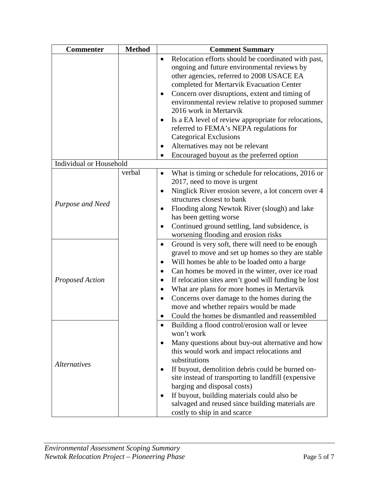| <b>Commenter</b>        | <b>Method</b> | <b>Comment Summary</b>                                                                                                                                                                                                                                                                                                                                                                                                                                                                                                                                                      |
|-------------------------|---------------|-----------------------------------------------------------------------------------------------------------------------------------------------------------------------------------------------------------------------------------------------------------------------------------------------------------------------------------------------------------------------------------------------------------------------------------------------------------------------------------------------------------------------------------------------------------------------------|
|                         |               | Relocation efforts should be coordinated with past,<br>ongoing and future environmental reviews by<br>other agencies, referred to 2008 USACE EA<br>completed for Mertarvik Evacuation Center<br>Concern over disruptions, extent and timing of<br>$\bullet$<br>environmental review relative to proposed summer<br>2016 work in Mertarvik<br>Is a EA level of review appropriate for relocations,<br>$\bullet$<br>referred to FEMA's NEPA regulations for<br><b>Categorical Exclusions</b><br>Alternatives may not be relevant<br>Encouraged buyout as the preferred option |
| Individual or Household |               |                                                                                                                                                                                                                                                                                                                                                                                                                                                                                                                                                                             |
| Purpose and Need        | verbal        | What is timing or schedule for relocations, 2016 or<br>2017, need to move is urgent<br>Ninglick River erosion severe, a lot concern over 4<br>$\bullet$<br>structures closest to bank<br>Flooding along Newtok River (slough) and lake<br>$\bullet$<br>has been getting worse<br>Continued ground settling, land subsidence, is<br>٠<br>worsening flooding and erosion risks                                                                                                                                                                                                |
| <b>Proposed Action</b>  |               | Ground is very soft, there will need to be enough<br>$\bullet$<br>gravel to move and set up homes so they are stable<br>Will homes be able to be loaded onto a barge<br>$\bullet$<br>Can homes be moved in the winter, over ice road<br>٠<br>If relocation sites aren't good will funding be lost<br>$\bullet$<br>What are plans for more homes in Mertarvik<br>Concerns over damage to the homes during the<br>$\bullet$<br>move and whether repairs would be made<br>Could the homes be dismantled and reassembled                                                        |
| <b>Alternatives</b>     |               | Building a flood control/erosion wall or levee<br>won't work<br>Many questions about buy-out alternative and how<br>$\bullet$<br>this would work and impact relocations and<br>substitutions<br>If buyout, demolition debris could be burned on-<br>site instead of transporting to landfill (expensive<br>barging and disposal costs)<br>If buyout, building materials could also be<br>salvaged and reused since building materials are<br>costly to ship in and scarce                                                                                                   |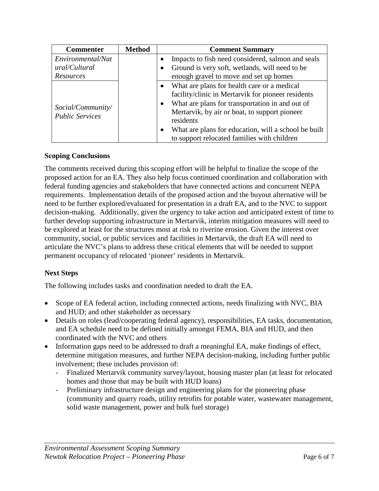| <b>Commenter</b>                            | <b>Method</b> | <b>Comment Summary</b>                                                                                                                                                                                                                                                                                                                                           |
|---------------------------------------------|---------------|------------------------------------------------------------------------------------------------------------------------------------------------------------------------------------------------------------------------------------------------------------------------------------------------------------------------------------------------------------------|
| Environmental/Nat                           |               | Impacts to fish need considered, salmon and seals                                                                                                                                                                                                                                                                                                                |
| ural/Cultural                               |               | Ground is very soft, wetlands, will need to be                                                                                                                                                                                                                                                                                                                   |
| Resources                                   |               | enough gravel to move and set up homes                                                                                                                                                                                                                                                                                                                           |
| Social/Community/<br><b>Public Services</b> |               | What are plans for health care or a medical<br>$\bullet$<br>facility/clinic in Mertarvik for pioneer residents<br>What are plans for transportation in and out of<br>$\bullet$<br>Mertarvik, by air or boat, to support pioneer<br>residents<br>What are plans for education, will a school be built<br>$\bullet$<br>to support relocated families with children |

## **Scoping Conclusions**

The comments received during this scoping effort will be helpful to finalize the scope of the proposed action for an EA. They also help focus continued coordination and collaboration with federal funding agencies and stakeholders that have connected actions and concurrent NEPA requirements. Implementation details of the proposed action and the buyout alternative will be need to be further explored/evaluated for presentation in a draft EA, and to the NVC to support decision-making. Additionally, given the urgency to take action and anticipated extent of time to further develop supporting infrastructure in Mertarvik, interim mitigation measures will need to be explored at least for the structures most at risk to riverine erosion. Given the interest over community, social, or public services and facilities in Mertarvik, the draft EA will need to articulate the NVC's plans to address these critical elements that will be needed to support permanent occupancy of relocated 'pioneer' residents in Mertarvik.

# **Next Steps**

The following includes tasks and coordination needed to draft the EA.

- Scope of EA federal action, including connected actions, needs finalizing with NVC, BIA and HUD; and other stakeholder as necessary
- Details on roles (lead/cooperating federal agency), responsibilities, EA tasks, documentation, and EA schedule need to be defined initially amongst FEMA, BIA and HUD, and then coordinated with the NVC and others
- Information gaps need to be addressed to draft a meaningful EA, make findings of effect, determine mitigation measures, and further NEPA decision-making, including further public involvement; these includes provision of:
	- Finalized Mertarvik community survey/layout, housing master plan (at least for relocated homes and those that may be built with HUD loans)
	- Preliminary infrastructure design and engineering plans for the pioneering phase (community and quarry roads, utility retrofits for potable water, wastewater management, solid waste management, power and bulk fuel storage)